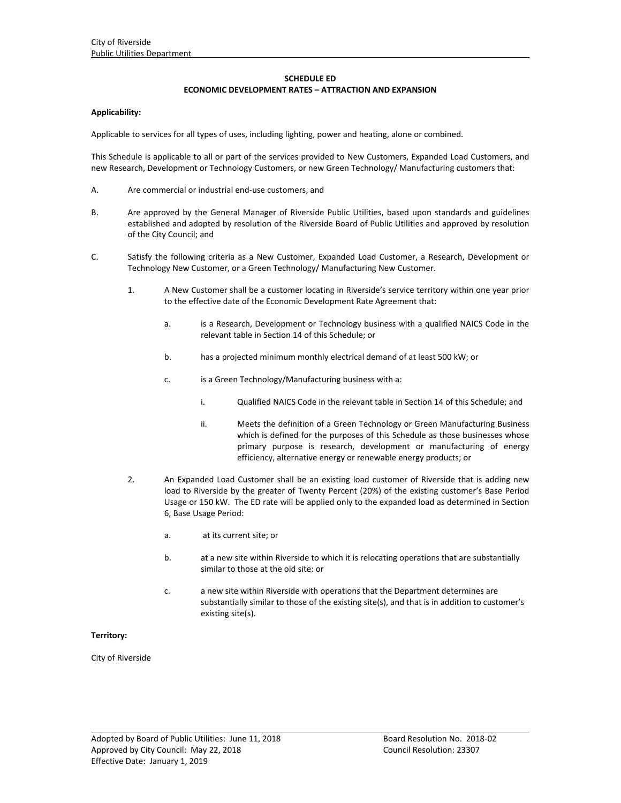## **SCHEDULE ED**

## **ECONOMIC DEVELOPMENT RATES – ATTRACTION AND EXPANSION**

### **Applicability:**

Applicable to services for all types of uses, including lighting, power and heating, alone or combined.

This Schedule is applicable to all or part of the services provided to New Customers, Expanded Load Customers, and new Research, Development or Technology Customers, or new Green Technology/ Manufacturing customers that:

- A. Are commercial or industrial end‐use customers, and
- B. Are approved by the General Manager of Riverside Public Utilities, based upon standards and guidelines established and adopted by resolution of the Riverside Board of Public Utilities and approved by resolution of the City Council; and
- C. Satisfy the following criteria as a New Customer, Expanded Load Customer, a Research, Development or Technology New Customer, or a Green Technology/ Manufacturing New Customer.
	- 1. A New Customer shall be a customer locating in Riverside's service territory within one year prior to the effective date of the Economic Development Rate Agreement that:
		- a. is a Research, Development or Technology business with a qualified NAICS Code in the relevant table in Section 14 of this Schedule; or
		- b. has a projected minimum monthly electrical demand of at least 500 kW; or
		- c. is a Green Technology/Manufacturing business with a:
			- i. Qualified NAICS Code in the relevant table in Section 14 of this Schedule; and
			- ii. Meets the definition of a Green Technology or Green Manufacturing Business which is defined for the purposes of this Schedule as those businesses whose primary purpose is research, development or manufacturing of energy efficiency, alternative energy or renewable energy products; or
	- 2. An Expanded Load Customer shall be an existing load customer of Riverside that is adding new load to Riverside by the greater of Twenty Percent (20%) of the existing customer's Base Period Usage or 150 kW. The ED rate will be applied only to the expanded load as determined in Section 6, Base Usage Period:
		- a. at its current site; or
		- b. at a new site within Riverside to which it is relocating operations that are substantially similar to those at the old site: or
		- c. a new site within Riverside with operations that the Department determines are substantially similar to those of the existing site(s), and that is in addition to customer's existing site(s).

<u> 1989 - Johann Stoff, amerikansk politiker (d. 1989)</u>

#### **Territory:**

City of Riverside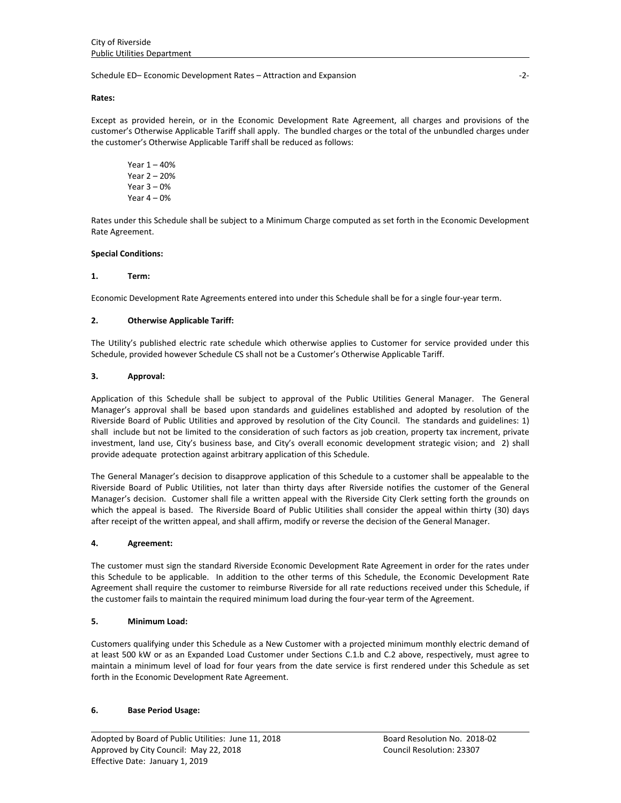Schedule ED– Economic Development Rates – Attraction and Expansion ‐2‐

### **Rates:**

Except as provided herein, or in the Economic Development Rate Agreement, all charges and provisions of the customer's Otherwise Applicable Tariff shall apply. The bundled charges or the total of the unbundled charges under the customer's Otherwise Applicable Tariff shall be reduced as follows:

Year 1 – 40% Year 2 – 20% Year  $3 - 0%$ Year  $4 - 0%$ 

Rates under this Schedule shall be subject to a Minimum Charge computed as set forth in the Economic Development Rate Agreement.

### **Special Conditions:**

### **1. Term:**

Economic Development Rate Agreements entered into under this Schedule shall be for a single four‐year term.

### **2. Otherwise Applicable Tariff:**

The Utility's published electric rate schedule which otherwise applies to Customer for service provided under this Schedule, provided however Schedule CS shall not be a Customer's Otherwise Applicable Tariff.

### **3. Approval:**

Application of this Schedule shall be subject to approval of the Public Utilities General Manager. The General Manager's approval shall be based upon standards and guidelines established and adopted by resolution of the Riverside Board of Public Utilities and approved by resolution of the City Council. The standards and guidelines: 1) shall include but not be limited to the consideration of such factors as job creation, property tax increment, private investment, land use, City's business base, and City's overall economic development strategic vision; and 2) shall provide adequate protection against arbitrary application of this Schedule.

The General Manager's decision to disapprove application of this Schedule to a customer shall be appealable to the Riverside Board of Public Utilities, not later than thirty days after Riverside notifies the customer of the General Manager's decision. Customer shall file a written appeal with the Riverside City Clerk setting forth the grounds on which the appeal is based. The Riverside Board of Public Utilities shall consider the appeal within thirty (30) days after receipt of the written appeal, and shall affirm, modify or reverse the decision of the General Manager.

#### **4. Agreement:**

The customer must sign the standard Riverside Economic Development Rate Agreement in order for the rates under this Schedule to be applicable. In addition to the other terms of this Schedule, the Economic Development Rate Agreement shall require the customer to reimburse Riverside for all rate reductions received under this Schedule, if the customer fails to maintain the required minimum load during the four-year term of the Agreement.

## **5. Minimum Load:**

Customers qualifying under this Schedule as a New Customer with a projected minimum monthly electric demand of at least 500 kW or as an Expanded Load Customer under Sections C.1.b and C.2 above, respectively, must agree to maintain a minimum level of load for four years from the date service is first rendered under this Schedule as set forth in the Economic Development Rate Agreement.

<u> 1989 - Johann Stoff, amerikansk politiker (d. 1989)</u>

## **6. Base Period Usage:**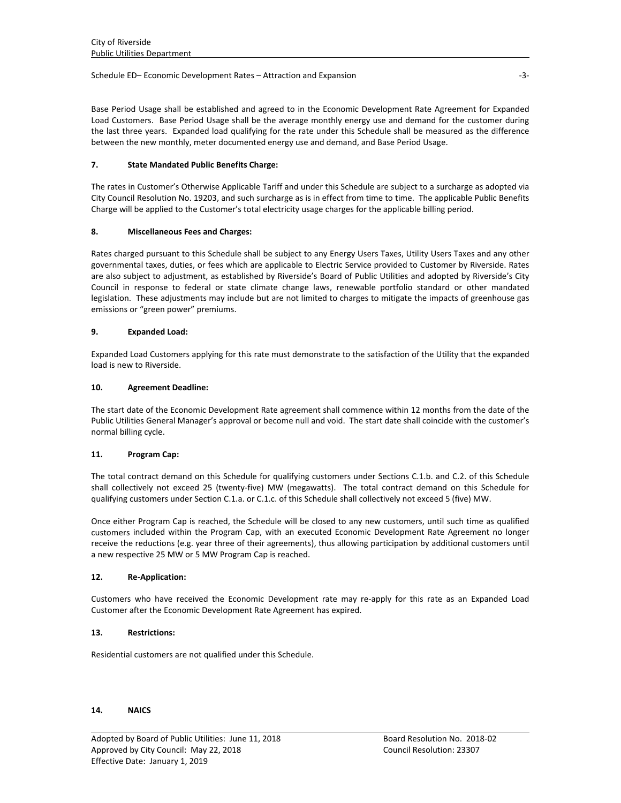### Schedule ED– Economic Development Rates – Attraction and Expansion **Example 2018**

Base Period Usage shall be established and agreed to in the Economic Development Rate Agreement for Expanded Load Customers. Base Period Usage shall be the average monthly energy use and demand for the customer during the last three years. Expanded load qualifying for the rate under this Schedule shall be measured as the difference between the new monthly, meter documented energy use and demand, and Base Period Usage.

## **7. State Mandated Public Benefits Charge:**

The rates in Customer's Otherwise Applicable Tariff and under this Schedule are subject to a surcharge as adopted via City Council Resolution No. 19203, and such surcharge as is in effect from time to time. The applicable Public Benefits Charge will be applied to the Customer's total electricity usage charges for the applicable billing period.

# **8. Miscellaneous Fees and Charges:**

Rates charged pursuant to this Schedule shall be subject to any Energy Users Taxes, Utility Users Taxes and any other governmental taxes, duties, or fees which are applicable to Electric Service provided to Customer by Riverside. Rates are also subject to adjustment, as established by Riverside's Board of Public Utilities and adopted by Riverside's City Council in response to federal or state climate change laws, renewable portfolio standard or other mandated legislation. These adjustments may include but are not limited to charges to mitigate the impacts of greenhouse gas emissions or "green power" premiums.

# **9. Expanded Load:**

Expanded Load Customers applying for this rate must demonstrate to the satisfaction of the Utility that the expanded load is new to Riverside.

## **10. Agreement Deadline:**

The start date of the Economic Development Rate agreement shall commence within 12 months from the date of the Public Utilities General Manager's approval or become null and void. The start date shall coincide with the customer's normal billing cycle.

## **11. Program Cap:**

The total contract demand on this Schedule for qualifying customers under Sections C.1.b. and C.2. of this Schedule shall collectively not exceed 25 (twenty‐five) MW (megawatts). The total contract demand on this Schedule for qualifying customers under Section C.1.a. or C.1.c. of this Schedule shall collectively not exceed 5 (five) MW.

Once either Program Cap is reached, the Schedule will be closed to any new customers, until such time as qualified customers included within the Program Cap, with an executed Economic Development Rate Agreement no longer receive the reductions (e.g. year three of their agreements), thus allowing participation by additional customers until a new respective 25 MW or 5 MW Program Cap is reached.

## **12. Re‐Application:**

Customers who have received the Economic Development rate may re‐apply for this rate as an Expanded Load Customer after the Economic Development Rate Agreement has expired.

<u> 1989 - Johann Stoff, amerikansk politiker (d. 1989)</u>

## **13. Restrictions:**

Residential customers are not qualified under this Schedule.

## **14. NAICS**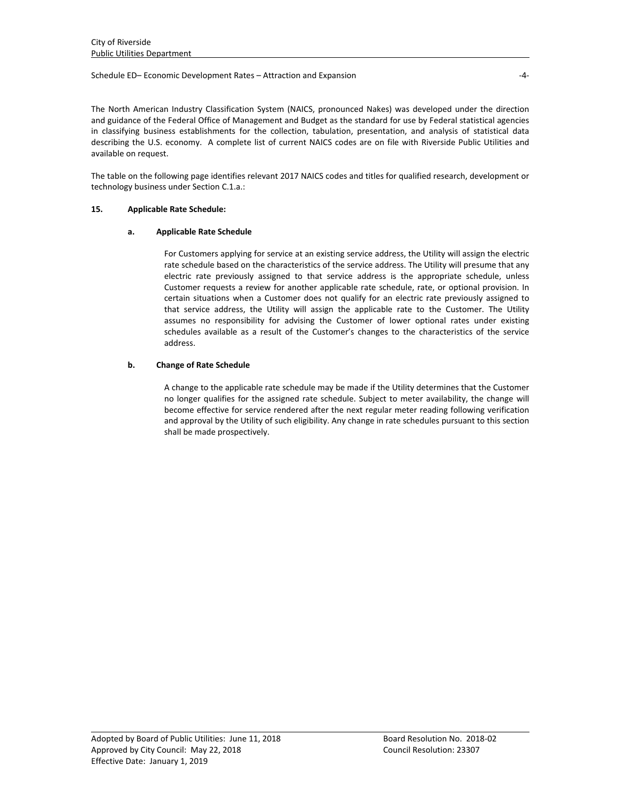### Schedule ED– Economic Development Rates – Attraction and Expansion ‐4‐

The North American Industry Classification System (NAICS, pronounced Nakes) was developed under the direction and guidance of the Federal Office of Management and Budget as the standard for use by Federal statistical agencies in classifying business establishments for the collection, tabulation, presentation, and analysis of statistical data describing the U.S. economy. A complete list of current NAICS codes are on file with Riverside Public Utilities and available on request.

The table on the following page identifies relevant 2017 NAICS codes and titles for qualified research, development or technology business under Section C.1.a.:

# **15. Applicable Rate Schedule:**

# **a. Applicable Rate Schedule**

For Customers applying for service at an existing service address, the Utility will assign the electric rate schedule based on the characteristics of the service address. The Utility will presume that any electric rate previously assigned to that service address is the appropriate schedule, unless Customer requests a review for another applicable rate schedule, rate, or optional provision. In certain situations when a Customer does not qualify for an electric rate previously assigned to that service address, the Utility will assign the applicable rate to the Customer. The Utility assumes no responsibility for advising the Customer of lower optional rates under existing schedules available as a result of the Customer's changes to the characteristics of the service address.

# **b. Change of Rate Schedule**

A change to the applicable rate schedule may be made if the Utility determines that the Customer no longer qualifies for the assigned rate schedule. Subject to meter availability, the change will become effective for service rendered after the next regular meter reading following verification and approval by the Utility of such eligibility. Any change in rate schedules pursuant to this section shall be made prospectively.

<u> 1989 - Johann Stoff, amerikansk politiker (d. 1989)</u>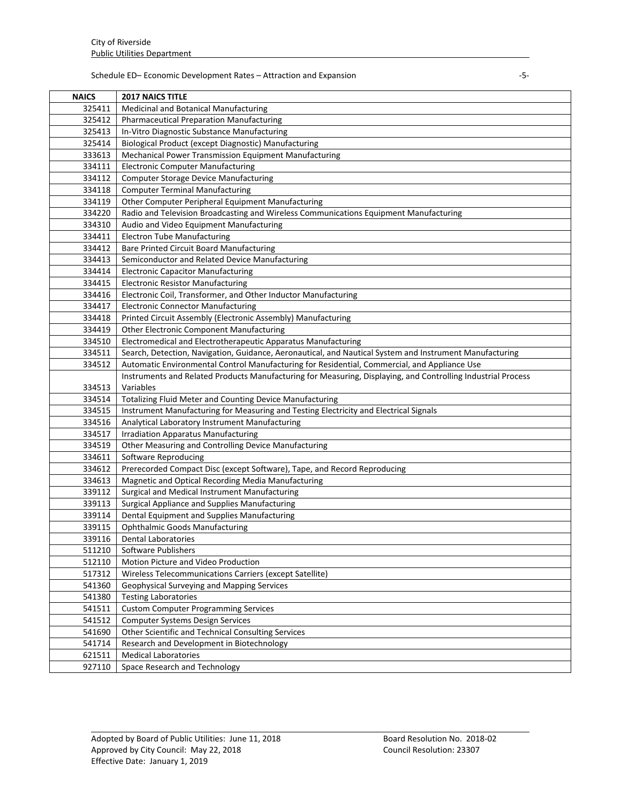# Schedule ED– Economic Development Rates – Attraction and Expansion ‐5‐

| <b>NAICS</b> | <b>2017 NAICS TITLE</b>                                                                                      |
|--------------|--------------------------------------------------------------------------------------------------------------|
| 325411       | <b>Medicinal and Botanical Manufacturing</b>                                                                 |
| 325412       | <b>Pharmaceutical Preparation Manufacturing</b>                                                              |
| 325413       | In-Vitro Diagnostic Substance Manufacturing                                                                  |
| 325414       | Biological Product (except Diagnostic) Manufacturing                                                         |
| 333613       | Mechanical Power Transmission Equipment Manufacturing                                                        |
| 334111       | <b>Electronic Computer Manufacturing</b>                                                                     |
| 334112       | <b>Computer Storage Device Manufacturing</b>                                                                 |
| 334118       | <b>Computer Terminal Manufacturing</b>                                                                       |
| 334119       | Other Computer Peripheral Equipment Manufacturing                                                            |
| 334220       | Radio and Television Broadcasting and Wireless Communications Equipment Manufacturing                        |
| 334310       | Audio and Video Equipment Manufacturing                                                                      |
| 334411       | <b>Electron Tube Manufacturing</b>                                                                           |
| 334412       | Bare Printed Circuit Board Manufacturing                                                                     |
| 334413       | Semiconductor and Related Device Manufacturing                                                               |
| 334414       | <b>Electronic Capacitor Manufacturing</b>                                                                    |
| 334415       | <b>Electronic Resistor Manufacturing</b>                                                                     |
| 334416       | Electronic Coil, Transformer, and Other Inductor Manufacturing                                               |
| 334417       | <b>Electronic Connector Manufacturing</b>                                                                    |
| 334418       | Printed Circuit Assembly (Electronic Assembly) Manufacturing                                                 |
| 334419       | <b>Other Electronic Component Manufacturing</b>                                                              |
| 334510       | Electromedical and Electrotherapeutic Apparatus Manufacturing                                                |
| 334511       | Search, Detection, Navigation, Guidance, Aeronautical, and Nautical System and Instrument Manufacturing      |
| 334512       | Automatic Environmental Control Manufacturing for Residential, Commercial, and Appliance Use                 |
|              | Instruments and Related Products Manufacturing for Measuring, Displaying, and Controlling Industrial Process |
| 334513       | Variables                                                                                                    |
| 334514       | Totalizing Fluid Meter and Counting Device Manufacturing                                                     |
| 334515       | Instrument Manufacturing for Measuring and Testing Electricity and Electrical Signals                        |
| 334516       | Analytical Laboratory Instrument Manufacturing                                                               |
| 334517       | <b>Irradiation Apparatus Manufacturing</b>                                                                   |
| 334519       | Other Measuring and Controlling Device Manufacturing                                                         |
| 334611       | Software Reproducing                                                                                         |
| 334612       | Prerecorded Compact Disc (except Software), Tape, and Record Reproducing                                     |
| 334613       | Magnetic and Optical Recording Media Manufacturing                                                           |
| 339112       | Surgical and Medical Instrument Manufacturing                                                                |
| 339113       | Surgical Appliance and Supplies Manufacturing                                                                |
| 339114       | Dental Equipment and Supplies Manufacturing                                                                  |
| 339115       | <b>Ophthalmic Goods Manufacturing</b>                                                                        |
| 339116       | <b>Dental Laboratories</b>                                                                                   |
| 511210       | Software Publishers                                                                                          |
| 512110       | Motion Picture and Video Production                                                                          |
| 517312       | Wireless Telecommunications Carriers (except Satellite)                                                      |
| 541360       | Geophysical Surveying and Mapping Services                                                                   |
| 541380       | <b>Testing Laboratories</b>                                                                                  |
| 541511       | <b>Custom Computer Programming Services</b>                                                                  |
| 541512       | <b>Computer Systems Design Services</b>                                                                      |
| 541690       | Other Scientific and Technical Consulting Services                                                           |
| 541714       | Research and Development in Biotechnology                                                                    |
| 621511       | <b>Medical Laboratories</b>                                                                                  |
| 927110       | Space Research and Technology                                                                                |

<u> 1989 - Johann Stoff, amerikansk politiker (d. 1989)</u>